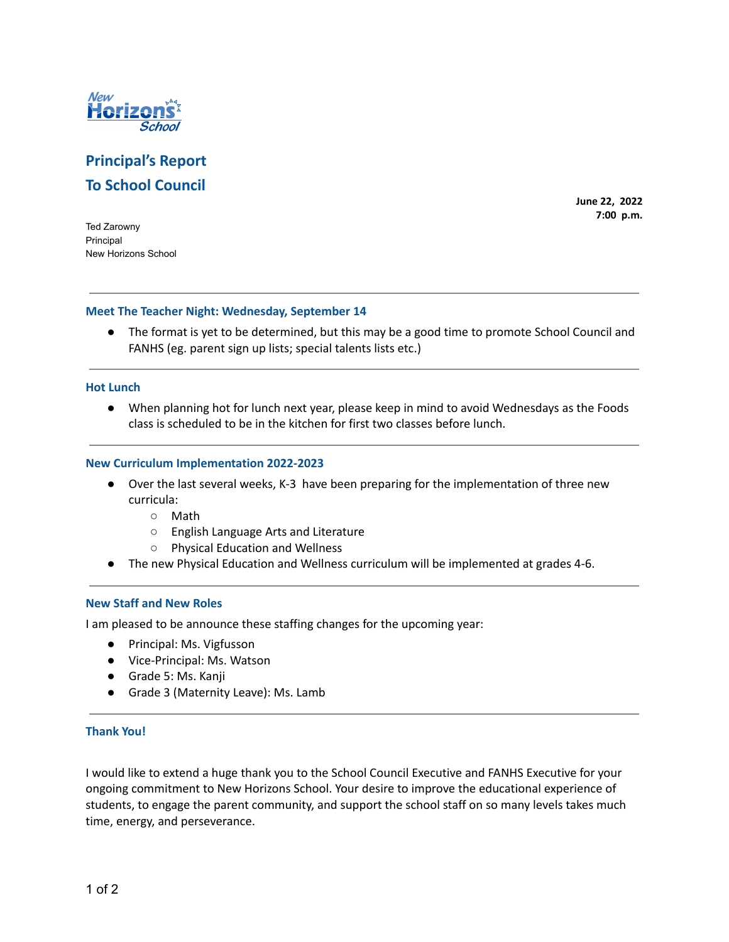

# **Principal's Report To School Council**

**June 22, 2022 7:00 p.m.**

Ted Zarowny Principal New Horizons School

# **Meet The Teacher Night: Wednesday, September 14**

● The format is yet to be determined, but this may be a good time to promote School Council and FANHS (eg. parent sign up lists; special talents lists etc.)

# **Hot Lunch**

● When planning hot for lunch next year, please keep in mind to avoid Wednesdays as the Foods class is scheduled to be in the kitchen for first two classes before lunch.

# **New Curriculum Implementation 2022-2023**

- Over the last several weeks, K-3 have been preparing for the implementation of three new curricula:
	- Math
	- English Language Arts and Literature
	- Physical Education and Wellness
- The new Physical Education and Wellness curriculum will be implemented at grades 4-6.

# **New Staff and New Roles**

I am pleased to be announce these staffing changes for the upcoming year:

- Principal: Ms. Vigfusson
- Vice-Principal: Ms. Watson
- Grade 5: Ms. Kanji
- Grade 3 (Maternity Leave): Ms. Lamb

# **Thank You!**

I would like to extend a huge thank you to the School Council Executive and FANHS Executive for your ongoing commitment to New Horizons School. Your desire to improve the educational experience of students, to engage the parent community, and support the school staff on so many levels takes much time, energy, and perseverance.